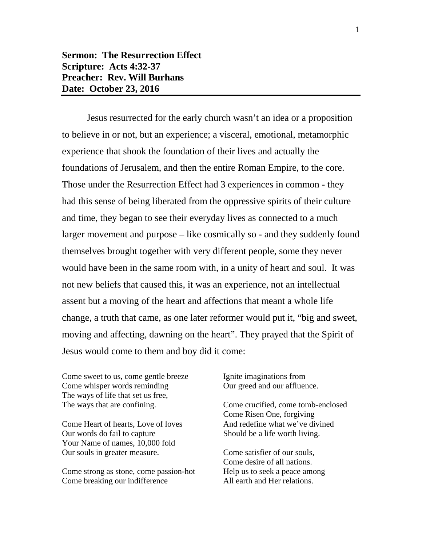## **Sermon: The Resurrection Effect Scripture: Acts 4:32-37 Preacher: Rev. Will Burhans Date: October 23, 2016**

Jesus resurrected for the early church wasn't an idea or a proposition to believe in or not, but an experience; a visceral, emotional, metamorphic experience that shook the foundation of their lives and actually the foundations of Jerusalem, and then the entire Roman Empire, to the core. Those under the Resurrection Effect had 3 experiences in common - they had this sense of being liberated from the oppressive spirits of their culture and time, they began to see their everyday lives as connected to a much larger movement and purpose – like cosmically so - and they suddenly found themselves brought together with very different people, some they never would have been in the same room with, in a unity of heart and soul. It was not new beliefs that caused this, it was an experience, not an intellectual assent but a moving of the heart and affections that meant a whole life change, a truth that came, as one later reformer would put it, "big and sweet, moving and affecting, dawning on the heart". They prayed that the Spirit of Jesus would come to them and boy did it come:

Come sweet to us, come gentle breeze Come whisper words reminding The ways of life that set us free, The ways that are confining.

Come Heart of hearts, Love of loves Our words do fail to capture Your Name of names, 10,000 fold Our souls in greater measure.

Come strong as stone, come passion-hot Come breaking our indifference

Ignite imaginations from Our greed and our affluence.

Come crucified, come tomb-enclosed Come Risen One, forgiving And redefine what we've divined Should be a life worth living.

Come satisfier of our souls, Come desire of all nations. Help us to seek a peace among All earth and Her relations.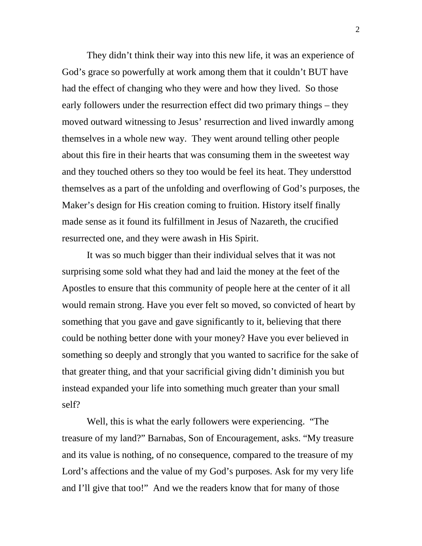They didn't think their way into this new life, it was an experience of God's grace so powerfully at work among them that it couldn't BUT have had the effect of changing who they were and how they lived. So those early followers under the resurrection effect did two primary things – they moved outward witnessing to Jesus' resurrection and lived inwardly among themselves in a whole new way. They went around telling other people about this fire in their hearts that was consuming them in the sweetest way and they touched others so they too would be feel its heat. They understtod themselves as a part of the unfolding and overflowing of God's purposes, the Maker's design for His creation coming to fruition. History itself finally made sense as it found its fulfillment in Jesus of Nazareth, the crucified resurrected one, and they were awash in His Spirit.

It was so much bigger than their individual selves that it was not surprising some sold what they had and laid the money at the feet of the Apostles to ensure that this community of people here at the center of it all would remain strong. Have you ever felt so moved, so convicted of heart by something that you gave and gave significantly to it, believing that there could be nothing better done with your money? Have you ever believed in something so deeply and strongly that you wanted to sacrifice for the sake of that greater thing, and that your sacrificial giving didn't diminish you but instead expanded your life into something much greater than your small self?

Well, this is what the early followers were experiencing. "The treasure of my land?" Barnabas, Son of Encouragement, asks. "My treasure and its value is nothing, of no consequence, compared to the treasure of my Lord's affections and the value of my God's purposes. Ask for my very life and I'll give that too!" And we the readers know that for many of those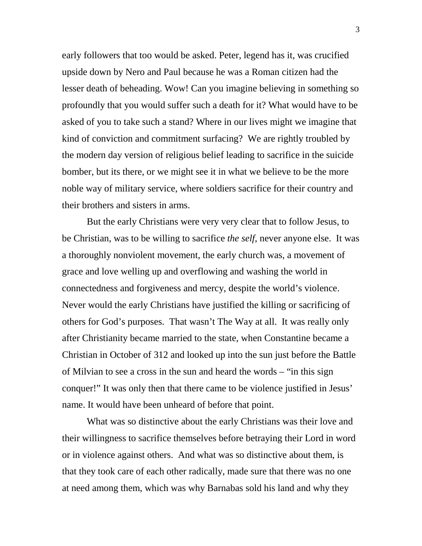early followers that too would be asked. Peter, legend has it, was crucified upside down by Nero and Paul because he was a Roman citizen had the lesser death of beheading. Wow! Can you imagine believing in something so profoundly that you would suffer such a death for it? What would have to be asked of you to take such a stand? Where in our lives might we imagine that kind of conviction and commitment surfacing? We are rightly troubled by the modern day version of religious belief leading to sacrifice in the suicide bomber, but its there, or we might see it in what we believe to be the more noble way of military service, where soldiers sacrifice for their country and their brothers and sisters in arms.

But the early Christians were very very clear that to follow Jesus, to be Christian, was to be willing to sacrifice *the self*, never anyone else. It was a thoroughly nonviolent movement, the early church was, a movement of grace and love welling up and overflowing and washing the world in connectedness and forgiveness and mercy, despite the world's violence. Never would the early Christians have justified the killing or sacrificing of others for God's purposes. That wasn't The Way at all. It was really only after Christianity became married to the state, when Constantine became a Christian in October of 312 and looked up into the sun just before the Battle of Milvian to see a cross in the sun and heard the words – "in this sign conquer!" It was only then that there came to be violence justified in Jesus' name. It would have been unheard of before that point.

What was so distinctive about the early Christians was their love and their willingness to sacrifice themselves before betraying their Lord in word or in violence against others. And what was so distinctive about them, is that they took care of each other radically, made sure that there was no one at need among them, which was why Barnabas sold his land and why they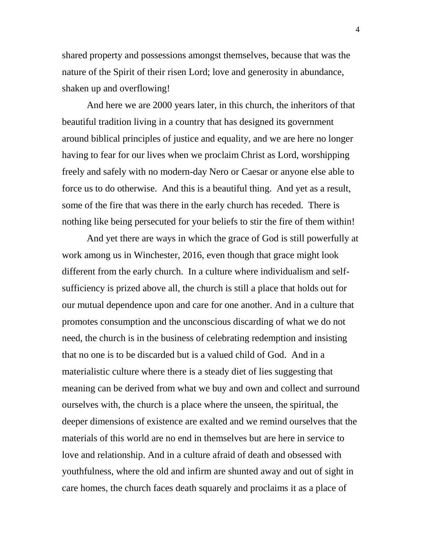shared property and possessions amongst themselves, because that was the nature of the Spirit of their risen Lord; love and generosity in abundance, shaken up and overflowing!

And here we are 2000 years later, in this church, the inheritors of that beautiful tradition living in a country that has designed its government around biblical principles of justice and equality, and we are here no longer having to fear for our lives when we proclaim Christ as Lord, worshipping freely and safely with no modern-day Nero or Caesar or anyone else able to force us to do otherwise. And this is a beautiful thing. And yet as a result, some of the fire that was there in the early church has receded. There is nothing like being persecuted for your beliefs to stir the fire of them within!

And yet there are ways in which the grace of God is still powerfully at work among us in Winchester, 2016, even though that grace might look different from the early church. In a culture where individualism and selfsufficiency is prized above all, the church is still a place that holds out for our mutual dependence upon and care for one another. And in a culture that promotes consumption and the unconscious discarding of what we do not need, the church is in the business of celebrating redemption and insisting that no one is to be discarded but is a valued child of God. And in a materialistic culture where there is a steady diet of lies suggesting that meaning can be derived from what we buy and own and collect and surround ourselves with, the church is a place where the unseen, the spiritual, the deeper dimensions of existence are exalted and we remind ourselves that the materials of this world are no end in themselves but are here in service to love and relationship. And in a culture afraid of death and obsessed with youthfulness, where the old and infirm are shunted away and out of sight in care homes, the church faces death squarely and proclaims it as a place of